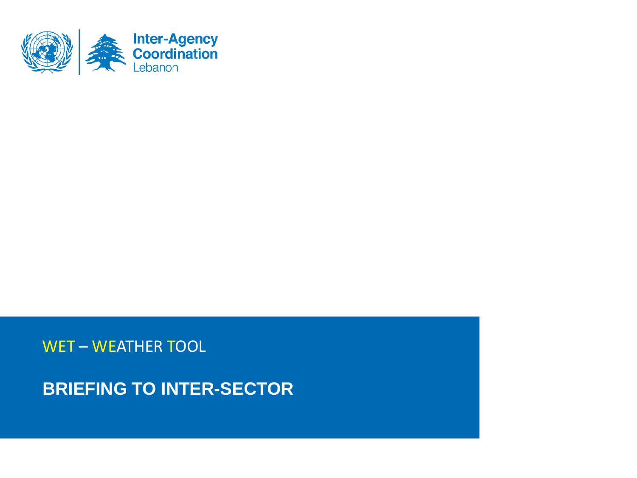

## WET – WEATHER TOOL

**BRIEFING TO INTER-SECTOR**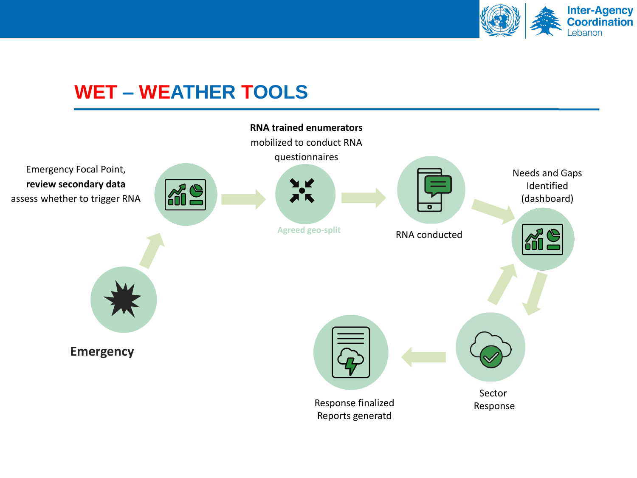

## **WET – WEATHER TOOLS**

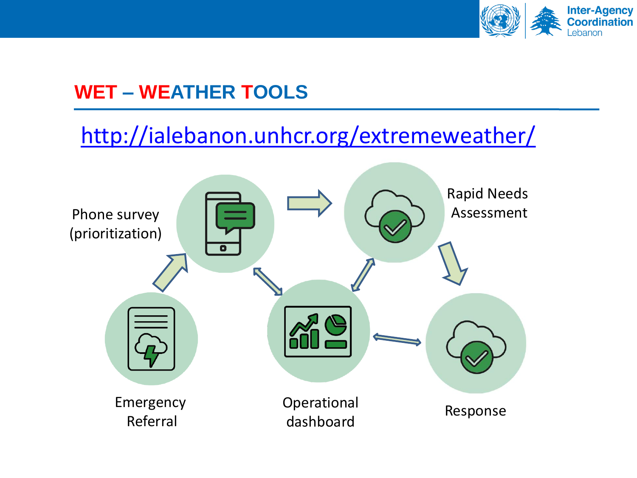

## **WET – WEATHER TOOLS**

## <http://ialebanon.unhcr.org/extremeweather/>

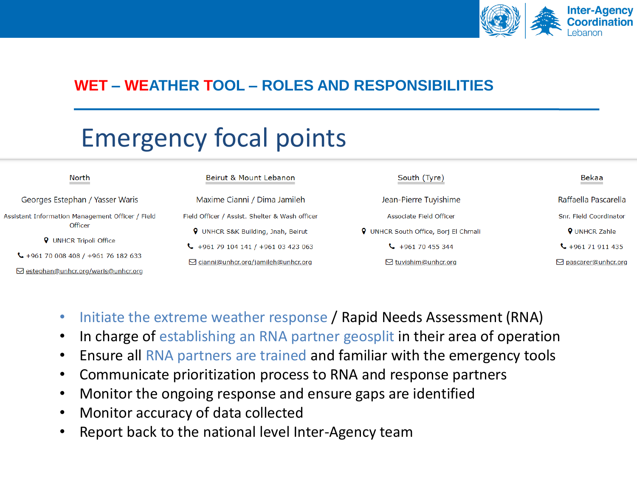

# Emergency focal points

| North                                                                                        | Beirut & Mount Lebanon                         | South (Tyre)                                | Bekaa                        |
|----------------------------------------------------------------------------------------------|------------------------------------------------|---------------------------------------------|------------------------------|
| Georges Estephan / Yasser Waris                                                              | Maxime Cianni / Dima Jamileh                   | Jean-Pierre Tuyishime                       | Raffaella Pascarella         |
| Assistant Information Management Officer / Field<br>Officer<br><b>Q</b> UNHCR Tripoli Office | Field Officer / Assist. Shelter & Wash officer | Associate Field Officer                     | Snr. Field Coordinator       |
|                                                                                              | <b>9</b> UNHCR S&K Building, Jnah, Beirut      | <b>9</b> UNHCR South Office, Borj El Chmali | <b>9</b> UNHCR Zahle         |
|                                                                                              | $\bigcup$ +961 79 104 141 / +961 03 423 063    | $\frac{1}{2}$ +961 70 455 344               | $\leftarrow$ +961 71 911 435 |
| $\bigcup$ +961 70 008 408 / +961 76 182 633                                                  | □ cianni@unhcr.org/jamileh@unhcr.org           | $\boxdot$ tuyishim@unhcr.org                | □ pascarer@unhcr.org         |
| $\boxdot$ estephan@unhcr.org/waris@unhcr.org                                                 |                                                |                                             |                              |

- Initiate the extreme weather response / Rapid Needs Assessment (RNA)
- In charge of establishing an RNA partner geosplit in their area of operation
- Ensure all RNA partners are trained and familiar with the emergency tools
- Communicate prioritization process to RNA and response partners
- Monitor the ongoing response and ensure gaps are identified
- Monitor accuracy of data collected
- Report back to the national level Inter-Agency team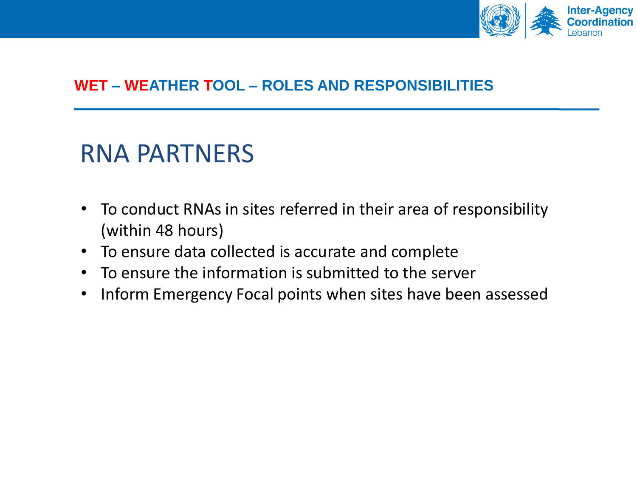

# RNA PARTNERS

- To conduct RNAs in sites referred in their area of responsibility (within 48 hours)
- To ensure data collected is accurate and complete
- To ensure the information is submitted to the server
- Inform Emergency Focal points when sites have been assessed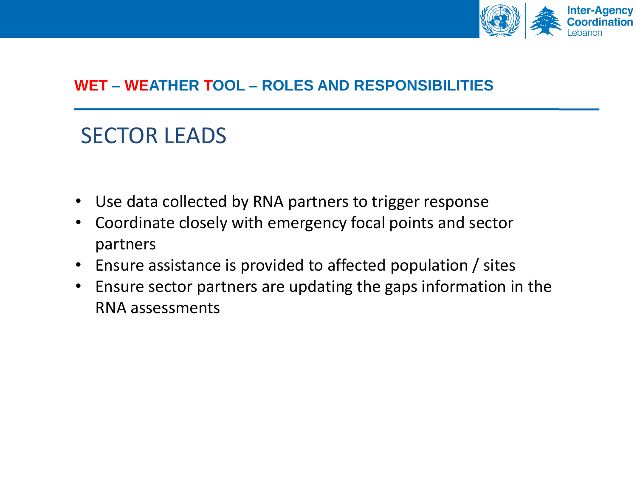

## SECTOR LEADS

- Use data collected by RNA partners to trigger response
- Coordinate closely with emergency focal points and sector partners
- Ensure assistance is provided to affected population / sites
- Ensure sector partners are updating the gaps information in the RNA assessments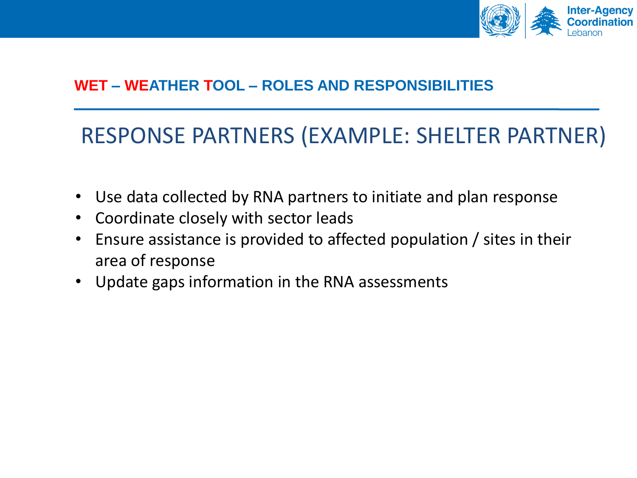

## RESPONSE PARTNERS (EXAMPLE: SHELTER PARTNER)

- Use data collected by RNA partners to initiate and plan response
- Coordinate closely with sector leads
- Ensure assistance is provided to affected population / sites in their area of response
- Update gaps information in the RNA assessments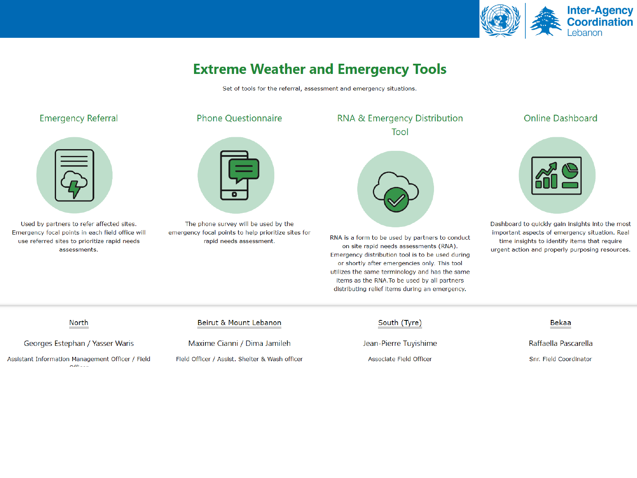

### **Extreme Weather and Emergency Tools**

Set of tools for the referral, assessment and emergency situations.

#### **Emergency Referral**



Used by partners to refer affected sites. Emergency focal points in each field office will use referred sites to prioritize rapid needs assessments.

### **Phone Ouestionnaire**



The phone survey will be used by the emergency focal points to help prioritize sites for rapid needs assessment.

### RNA & Emergency Distribution Tool



RNA is a form to be used by partners to conduct on site rapid needs assessments (RNA). Emergency distribution tool is to be used during or shortly after emergencies only. This tool utilizes the same terminology and has the same items as the RNA. To be used by all partners distributing relief items during an emergency.

#### **Online Dashboard**



Dashboard to quickly gain insights into the most important aspects of emergency situation. Real time insights to identify items that require urgent action and properly purposing resources.

#### North

#### Georges Estephan / Yasser Waris

Assistant Information Management Officer / Field 

Beirut & Mount Lebanon

Maxime Cianni / Dima Jamileh Field Officer / Assist. Shelter & Wash officer South (Tyre)

Jean-Pierre Tuyishime

Associate Field Officer

#### **Bekaa**

Raffaella Pascarella

Snr. Field Coordinator